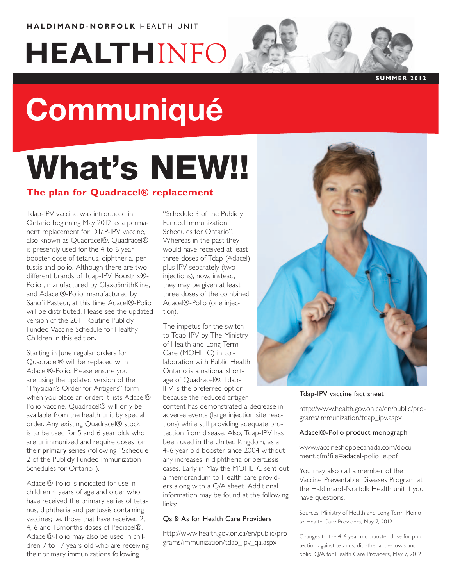# **HEALTH**INFO

### **S U MM ER 2012**

# **Communiqué**

## What's NEW!!

### **The plan for Quadracel® replacement**

Tdap-IPV vaccine was introduced in Ontario beginning May 2012 as a permanent replacement for DTaP-IPV vaccine, also known as Quadracel®. Quadracel® is presently used for the 4 to 6 year booster dose of tetanus, diphtheria, pertussis and polio. Although there are two different brands of Tdap-IPV, Boostrix®- Polio , manufactured by GlaxoSmithKline, and Adacel®-Polio, manufactured by Sanofi Pasteur, at this time Adacel®-Polio will be distributed. Please see the updated version of the 2011 Routine Publicly Funded Vaccine Schedule for Healthy Children in this edition.

Starting in June regular orders for Quadracel® will be replaced with Adacel®-Polio. Please ensure you are using the updated version of the "Physician's Order for Antigens" form when you place an order; it lists Adacel®- Polio vaccine. Quadracel® will only be available from the health unit by special order. Any existing Quadracel® stock is to be used for 5 and 6 year olds who are unimmunized and require doses for their primary series (following "Schedule 2 of the Publicly Funded Immunization Schedules for Ontario").

Adacel®-Polio is indicated for use in children 4 years of age and older who have received the primary series of tetanus, diphtheria and pertussis containing vaccines; i.e. those that have received 2, 4, 6 and 18months doses of Pediacel®. Adacel®-Polio may also be used in children 7 to 17 years old who are receiving their primary immunizations following

"Schedule 3 of the Publicly Funded Immunization Schedules for Ontario". Whereas in the past they would have received at least three doses of Tdap (Adacel) plus IPV separately (two injections), now, instead, they may be given at least three doses of the combined Adacel®-Polio (one injection).

The impetus for the switch to Tdap-IPV by The Ministry of Health and Long-Term Care (MOHLTC) in collaboration with Public Health Ontario is a national shortage of Quadracel®. Tdap-IPV is the preferred option because the reduced antigen content has demonstrated a decrease in adverse events (large injection site reactions) while still providing adequate protection from disease. Also, Tdap-IPV has been used in the United Kingdom, as a 4-6 year old booster since 2004 without any increases in diphtheria or pertussis cases. Early in May the MOHLTC sent out a memorandum to Health care providers along with a Q/A sheet. Additional information may be found at the following links:

### Qs & As for Health Care Providers

http://www.health.gov.on.ca/en/public/programs/immunization/tdap\_ipv\_qa.aspx



### Tdap-IPV vaccine fact sheet

http://www.health.gov.on.ca/en/public/programs/immunization/tdap\_ipv.aspx

### Adacel®-Polio product monograph

www.vaccineshoppecanada.com/document.cfm?file=adacel-polio\_e.pdf

You may also call a member of the Vaccine Preventable Diseases Program at the Haldimand-Norfolk Health unit if you have questions.

Sources: Ministry of Health and Long-Term Memo to Health Care Providers, May 7, 2012

Changes to the 4-6 year old booster dose for protection against tetanus, diphtheria, pertussis and polio; Q/A for Health Care Providers, May 7, 2012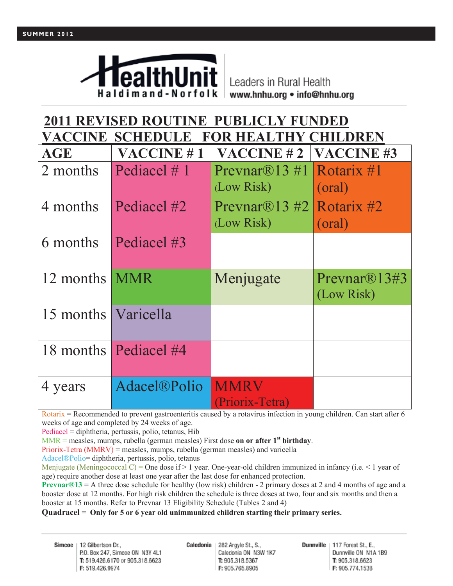

Leaders in Rural Health www.hnhu.org • info@hnhu.org

### **2011 REVISED ROUTINE PUBLICLY FUNDED VACCINE SCHEDULE FOR HEALTHY CHILDREN AGE VACCINE # 1 VACCINE # 2 VACCINE #3** 2 months Pediacel # 1 Prevnar®13 #1 (Low Risk) Rotarix #1 (oral) 4 months Pediacel  $\#2$  Prevnar®13  $\#2$ (Low Risk) Rotarix #2 (oral) 6 months Pediacel #3 12 months MMR Menjugate Prevnar®13#3 (Low Risk) 15 months Varicella 18 months Pediacel #4 4 years Adacel®Polio MMRV (Priorix-Tetra)

Rotarix = Recommended to prevent gastroenteritis caused by a rotavirus infection in young children. Can start after 6 weeks of age and completed by 24 weeks of age.

Pediacel = diphtheria, pertussis, polio, tetanus, Hib

MMR = measles, mumps, rubella (german measles) First dose **on or after 1st birthday**.

Priorix-Tetra (MMRV) = measles, mumps, rubella (german measles) and varicella

Adacel®Polio= diphtheria, pertussis, polio, tetanus

Menjugate (Meningococcal C) = One dose if  $> 1$  year. One-year-old children immunized in infancy (i.e.  $< 1$  year of age) require another dose at least one year after the last dose for enhanced protection.

**Prevnar®13** = A three dose schedule for healthy (low risk) children - 2 primary doses at 2 and 4 months of age and a booster dose at 12 months. For high risk children the schedule is three doses at two, four and six months and then a booster at 15 months. Refer to Prevnar 13 Eligibility Schedule (Tables 2 and 4)

### **Quadracel** = **Only for 5 or 6 year old unimmunized children starting their primary series.**

Simcoe | 12 Gilbertson Dr., P.O. Box 247, Simcoe ON N3Y 4L1 T: 519.426.6170 or 905.318.6623 F: 519.426.9974

Caledonia 282 Argyle St., S., Caledonia ON N3W 1K7 T: 905.318.5367 F: 905.765.8905

Dunnville | 117 Forest St., E., Dunnville ON N1A 1B9 T: 905.318.6623 F: 905.774.1538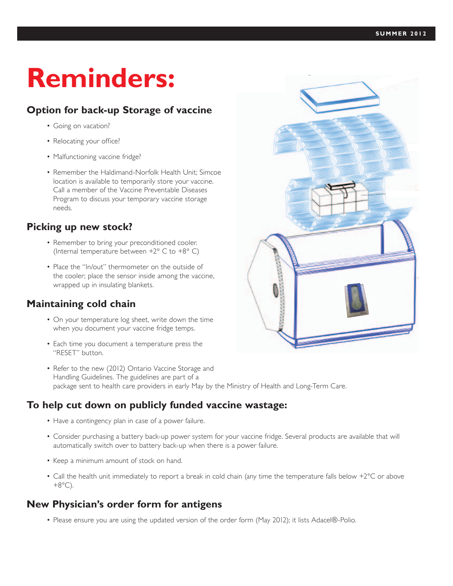## **Reminders:**

### **Option for back-up Storage of vaccine**

- • Going on vacation?
- Relocating your office?
- Malfunctioning vaccine fridge?
- Remember the Haldimand-Norfolk Health Unit: Simcoe location is available to temporarily store your vaccine. Call a member of the Vaccine Preventable Diseases Program to discuss your temporary vaccine storage needs.

### **Picking up new stock?**

- Remember to bring your preconditioned cooler. (Internal temperature between +2° C to +8° C)
- Place the "In/out" thermometer on the outside of the cooler; place the sensor inside among the vaccine, wrapped up in insulating blankets.

### **Maintaining cold chain**

- On your temperature log sheet, write down the time when you document your vaccine fridge temps.
- Each time you document a temperature press the "RESET" button.
- Refer to the new (2012) Ontario Vaccine Storage and Handling Guidelines. The guidelines are part of a package sent to health care providers in early May by the Ministry of Health and Long-Term Care.

### **To help cut down on publicly funded vaccine wastage:**

- Have a contingency plan in case of a power failure.
- • Consider purchasing a battery back-up power system for your vaccine fridge. Several products are available that will automatically switch over to battery back-up when there is a power failure.
- Keep a minimum amount of stock on hand.
- Call the health unit immediately to report a break in cold chain (any time the temperature falls below +2°C or above  $+8^{\circ}$ C).

### **New Physician's order form for antigens**

• Please ensure you are using the updated version of the order form (May 2012); it lists Adacel®-Polio.



ing blanket and the winter configuration has a chilled gel pack on top of the insulating blanket.